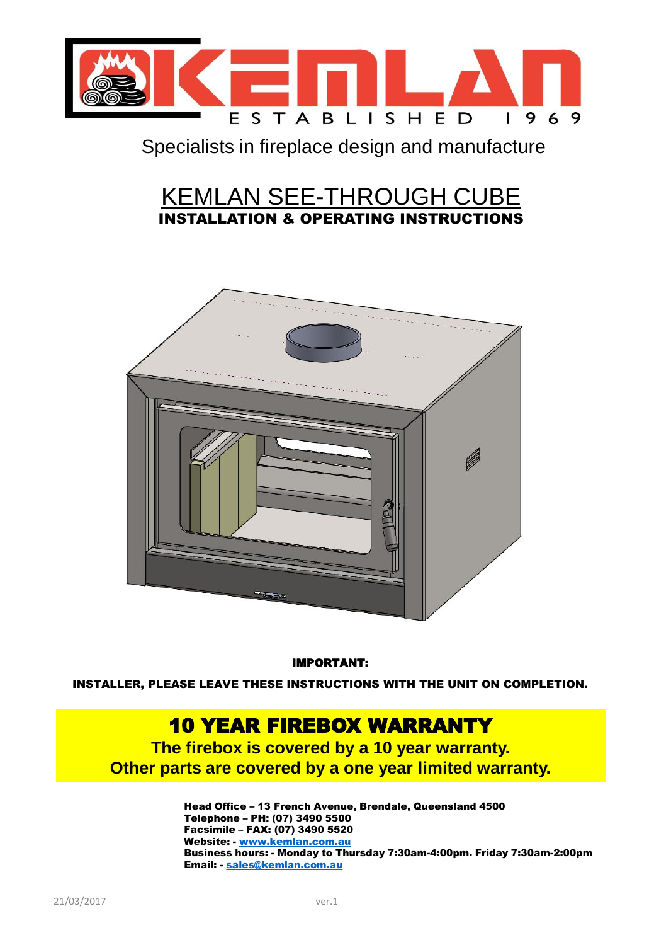

Specialists in fireplace design and manufacture

### KEMLAN SEE-THROUGH CUBE INSTALLATION & OPERATING INSTRUCTIONS



#### IMPORTANT:

INSTALLER, PLEASE LEAVE THESE INSTRUCTIONS WITH THE UNIT ON COMPLETION.

### 10 YEAR FIREBOX WARRANTY

**The firebox is covered by a 10 year warranty. Other parts are covered by a one year limited warranty.**

> Head Office – 13 French Avenue, Brendale, Queensland 4500 Telephone – PH: (07) 3490 5500 Facsimile – FAX: (07) 3490 5520 Website: - [www.kemlan.com.au](http://www.kemlan.com/) Business hours: - Monday to Thursday 7:30am-4:00pm. Friday 7:30am-2:00pm Email: - [sales@kemlan.com.au](mailto:sales@kemlan.com.au)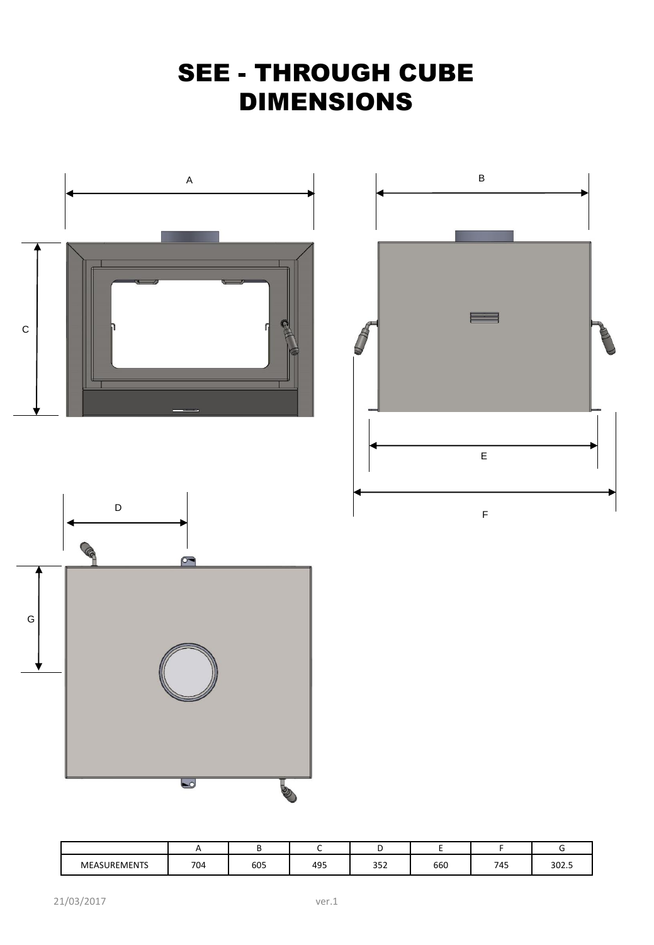# SEE - THROUGH CUBE DIMENSIONS



| <b>MEASUREMENTS</b> | 704 | 605 | 495 | 352 | 660 | 745 | 302.5 |
|---------------------|-----|-----|-----|-----|-----|-----|-------|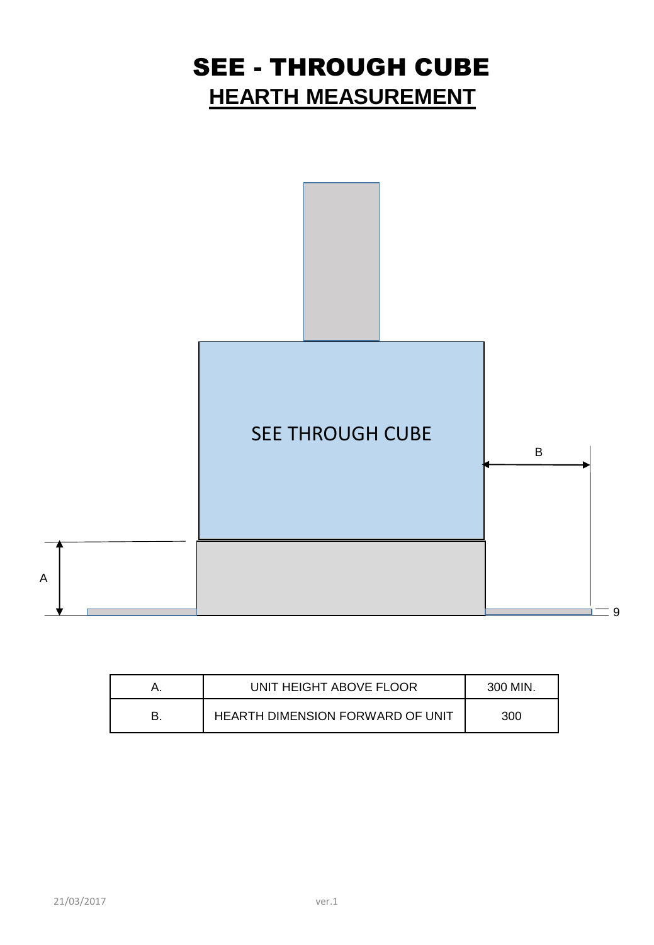# **HEARTH MEASUREMENT** SEE - THROUGH CUBE



| UNIT HEIGHT ABOVE FLOOR                 | 300 MIN. |
|-----------------------------------------|----------|
| <b>HEARTH DIMENSION FORWARD OF UNIT</b> | 300      |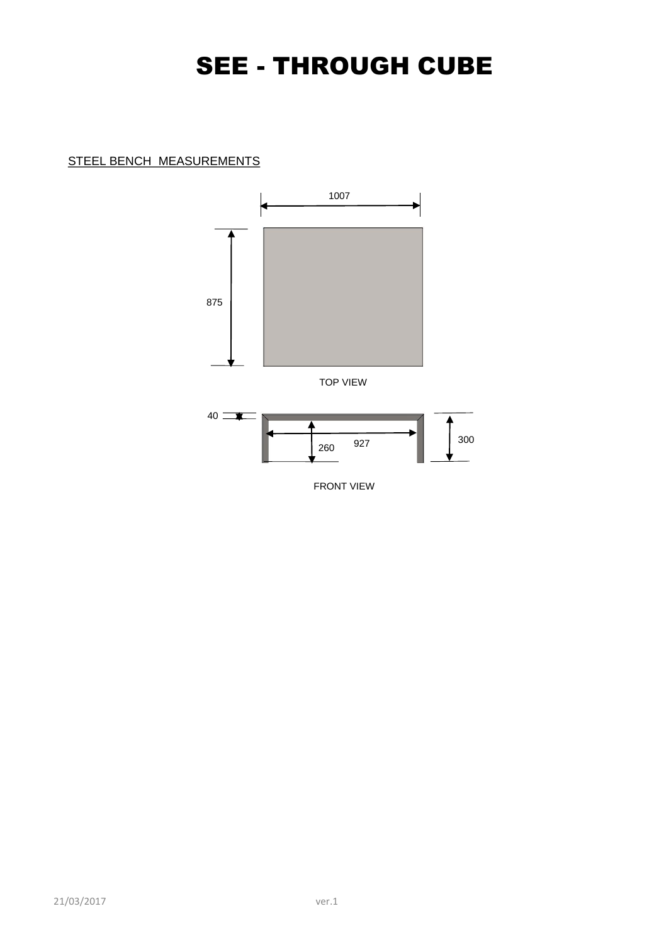# SEE - THROUGH CUBE

STEEL BENCH MEASUREMENTS

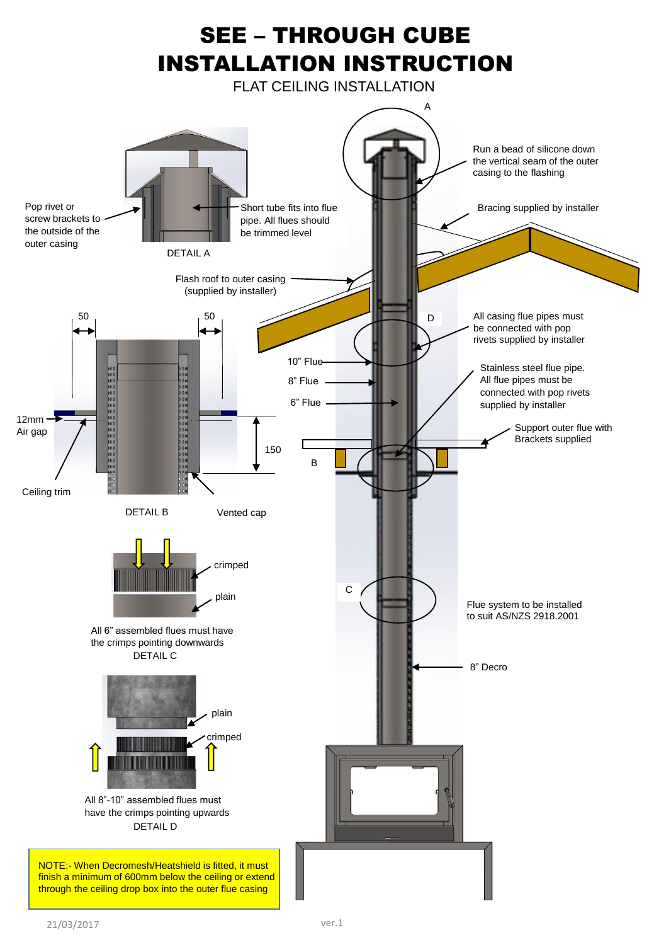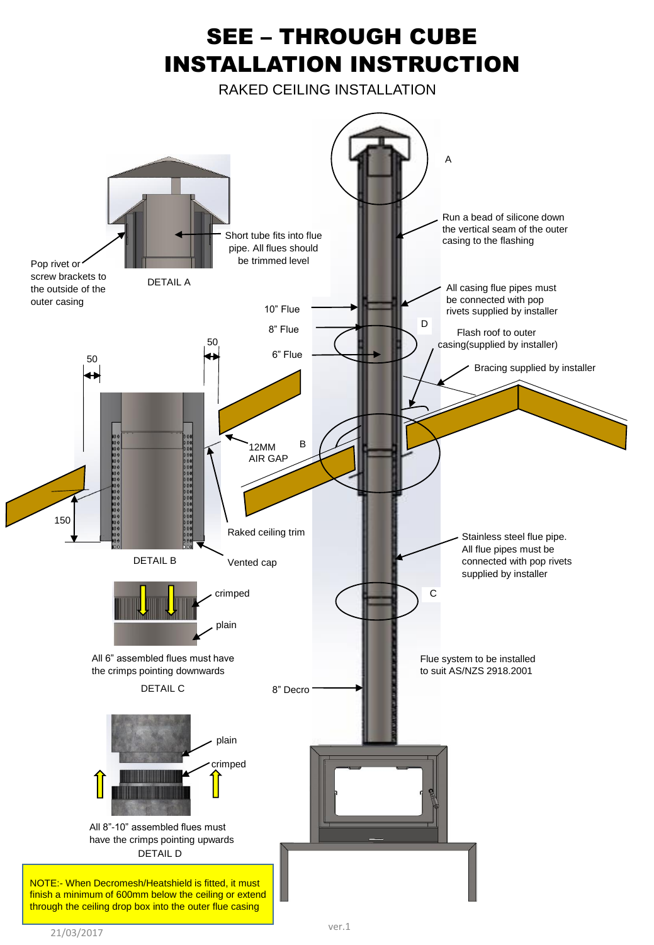# SEE – THROUGH CUBE INSTALLATION INSTRUCTION

RAKED CEILING INSTALLATION

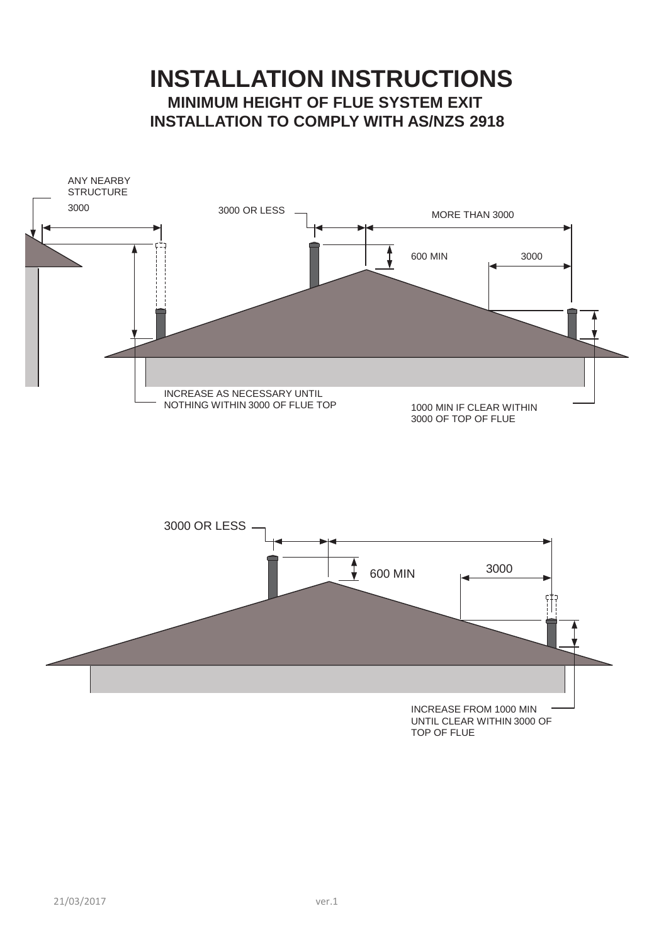### **INSTALLATION INSTRUCTIONS MINIMUM HEIGHT OF FLUE SYSTEM EXIT INSTALLATION TO COMPLY WITH AS/NZS 2918**

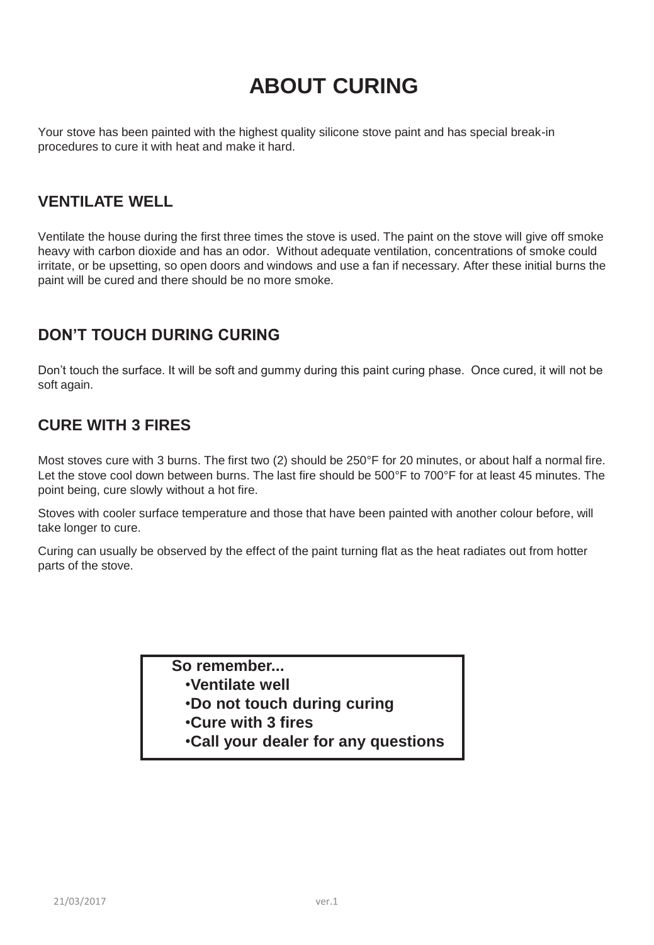# **ABOUT CURING**

Your stove has been painted with the highest quality silicone stove paint and has special break-in procedures to cure it with heat and make it hard.

### **VENTILATE WELL**

Ventilate the house during the first three times the stove is used. The paint on the stove will give off smoke heavy with carbon dioxide and has an odor. Without adequate ventilation, concentrations of smoke could irritate, or be upsetting, so open doors and windows and use a fan if necessary. After these initial burns the paint will be cured and there should be no more smoke.

### **DON'T TOUCH DURING CURING**

Don't touch the surface. It will be soft and gummy during this paint curing phase. Once cured, it will not be soft again.

### **CURE WITH 3 FIRES**

Most stoves cure with 3 burns. The first two (2) should be 250°F for 20 minutes, or about half a normal fire. Let the stove cool down between burns. The last fire should be 500°F to 700°F for at least 45 minutes. The point being, cure slowly without a hot fire.

Stoves with cooler surface temperature and those that have been painted with another colour before, will take longer to cure.

Curing can usually be observed by the effect of the paint turning flat as the heat radiates out from hotter parts of the stove.

#### **So remember...**

- •**Ventilate well**
- •**Do not touch during curing**
- •**Cure with 3 fires**
- •**Call your dealer for any questions**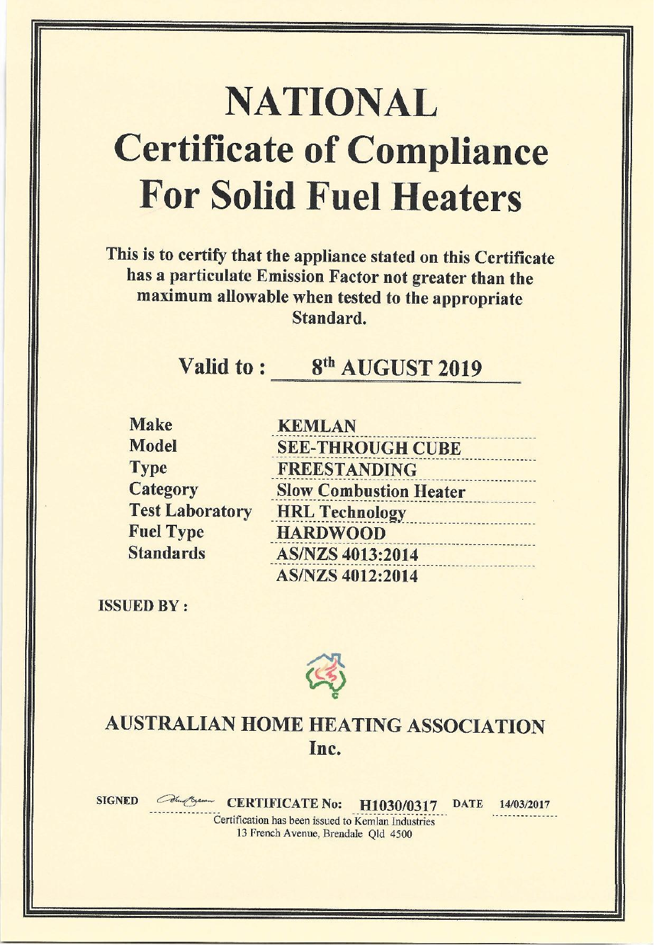# **NATIONAL Certificate of Compliance For Solid Fuel Heaters**

This is to certify that the appliance stated on this Certificate has a particulate Emission Factor not greater than the maximum allowable when tested to the appropriate Standard.

### Valid to: 8th AUGUST 2019

**Make Model Type Category Test Laboratory Fuel Type Standards** 

21/03/2017 ver. 2017 ver. 2017 ver. 2017 ver en en der en der stadigen av den verden ver. 2017 ver en en der s

| <b>KEMLAN</b>                 |
|-------------------------------|
| <b>SEE-THROUGH CUBE</b>       |
| <b>FREESTANDING</b>           |
| <b>Slow Combustion Heater</b> |
| <b>HRL Technology</b>         |
| <b>HARDWOOD</b>               |
| <b>AS/NZS 4013:2014</b>       |
| <b>AS/NZS 4012:2014</b>       |

**ISSUED BY:** 



### **AUSTRALIAN HOME HEATING ASSOCIATION** Inc.

**SIGNED** 

Aun Exem CERTIFICATE No: H1030/0317 **DATE** Certification has been issued to Kemlan Industries 13 French Avenue, Brendale Qld 4500

14/03/2017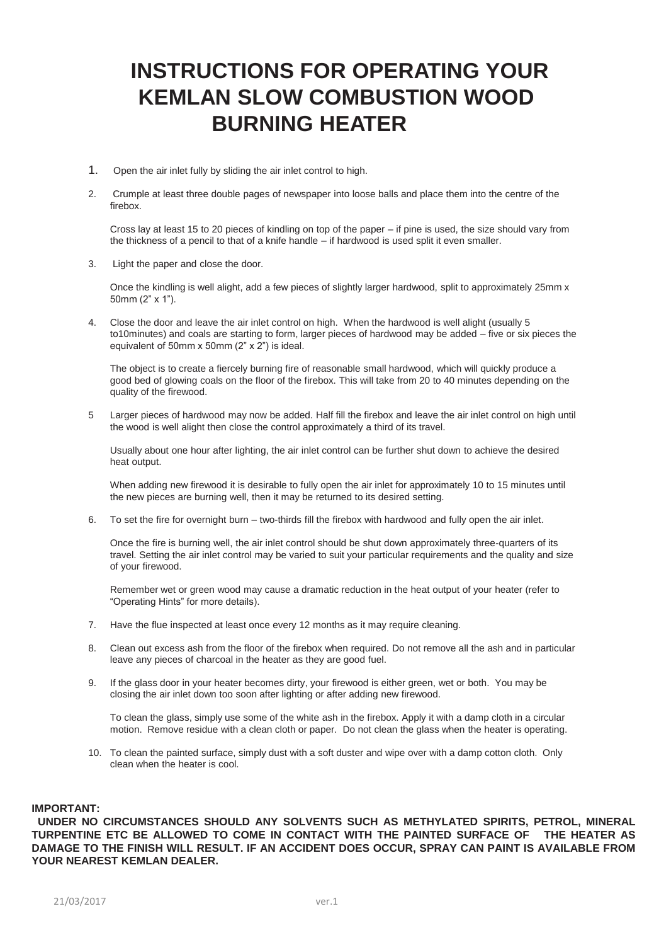### **INSTRUCTIONS FOR OPERATING YOUR KEMLAN SLOW COMBUSTION WOOD BURNING HEATER**

- 1. Open the air inlet fully by sliding the air inlet control to high.
- 2. Crumple at least three double pages of newspaper into loose balls and place them into the centre of the firebox.

Cross lay at least 15 to 20 pieces of kindling on top of the paper – if pine is used, the size should vary from the thickness of a pencil to that of a knife handle – if hardwood is used split it even smaller.

3. Light the paper and close the door.

Once the kindling is well alight, add a few pieces of slightly larger hardwood, split to approximately 25mm x 50mm (2" x 1").

4. Close the door and leave the air inlet control on high. When the hardwood is well alight (usually 5 to10minutes) and coals are starting to form, larger pieces of hardwood may be added – five or six pieces the equivalent of 50mm x 50mm (2" x 2") is ideal.

The object is to create a fiercely burning fire of reasonable small hardwood, which will quickly produce a good bed of glowing coals on the floor of the firebox. This will take from 20 to 40 minutes depending on the quality of the firewood.

5 Larger pieces of hardwood may now be added. Half fill the firebox and leave the air inlet control on high until the wood is well alight then close the control approximately a third of its travel.

Usually about one hour after lighting, the air inlet control can be further shut down to achieve the desired heat output.

When adding new firewood it is desirable to fully open the air inlet for approximately 10 to 15 minutes until the new pieces are burning well, then it may be returned to its desired setting.

6. To set the fire for overnight burn – two-thirds fill the firebox with hardwood and fully open the air inlet.

Once the fire is burning well, the air inlet control should be shut down approximately three-quarters of its travel. Setting the air inlet control may be varied to suit your particular requirements and the quality and size of your firewood.

Remember wet or green wood may cause a dramatic reduction in the heat output of your heater (refer to "Operating Hints" for more details).

- 7. Have the flue inspected at least once every 12 months as it may require cleaning.
- 8. Clean out excess ash from the floor of the firebox when required. Do not remove all the ash and in particular leave any pieces of charcoal in the heater as they are good fuel.
- 9. If the glass door in your heater becomes dirty, your firewood is either green, wet or both. You may be closing the air inlet down too soon after lighting or after adding new firewood.

To clean the glass, simply use some of the white ash in the firebox. Apply it with a damp cloth in a circular motion. Remove residue with a clean cloth or paper. Do not clean the glass when the heater is operating.

10. To clean the painted surface, simply dust with a soft duster and wipe over with a damp cotton cloth. Only clean when the heater is cool.

#### **IMPORTANT:**

**UNDER NO CIRCUMSTANCES SHOULD ANY SOLVENTS SUCH AS METHYLATED SPIRITS, PETROL, MINERAL TURPENTINE ETC BE ALLOWED TO COME IN CONTACT WITH THE PAINTED SURFACE OF THE HEATER AS DAMAGE TO THE FINISH WILL RESULT. IF AN ACCIDENT DOES OCCUR, SPRAY CAN PAINT IS AVAILABLE FROM YOUR NEAREST KEMLAN DEALER.**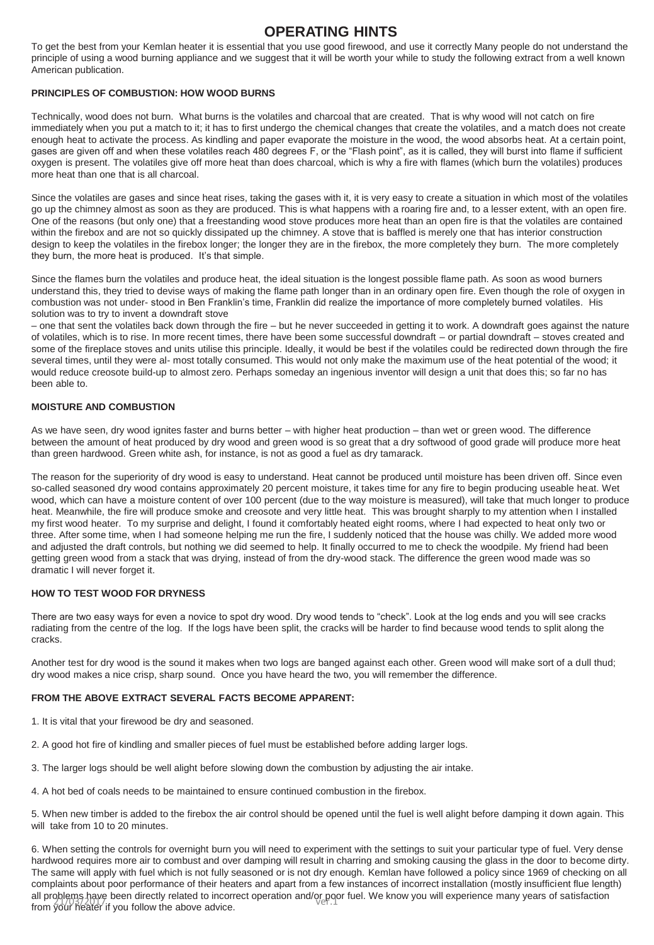### **OPERATING HINTS**

To get the best from your Kemlan heater it is essential that you use good firewood, and use it correctly Many people do not understand the principle of using a wood burning appliance and we suggest that it will be worth your while to study the following extract from a well known American publication.

#### **PRINCIPLES OF COMBUSTION: HOW WOOD BURNS**

Technically, wood does not burn. What burns is the volatiles and charcoal that are created. That is why wood will not catch on fire immediately when you put a match to it; it has to first undergo the chemical changes that create the volatiles, and a match does not create enough heat to activate the process. As kindling and paper evaporate the moisture in the wood, the wood absorbs heat. At a certain point, gases are given off and when these volatiles reach 480 degrees F, or the "Flash point", as it is called, they will burst into flame if sufficient oxygen is present. The volatiles give off more heat than does charcoal, which is why a fire with flames (which burn the volatiles) produces more heat than one that is all charcoal.

Since the volatiles are gases and since heat rises, taking the gases with it, it is very easy to create a situation in which most of the volatiles go up the chimney almost as soon as they are produced. This is what happens with a roaring fire and, to a lesser extent, with an open fire. One of the reasons (but only one) that a freestanding wood stove produces more heat than an open fire is that the volatiles are contained within the firebox and are not so quickly dissipated up the chimney. A stove that is baffled is merely one that has interior construction design to keep the volatiles in the firebox longer; the longer they are in the firebox, the more completely they burn. The more completely they burn, the more heat is produced. It's that simple.

Since the flames burn the volatiles and produce heat, the ideal situation is the longest possible flame path. As soon as wood burners understand this, they tried to devise ways of making the flame path longer than in an ordinary open fire. Even though the role of oxygen in combustion was not under- stood in Ben Franklin's time, Franklin did realize the importance of more completely burned volatiles. His solution was to try to invent a downdraft stove

– one that sent the volatiles back down through the fire – but he never succeeded in getting it to work. A downdraft goes against the nature of volatiles, which is to rise. In more recent times, there have been some successful downdraft – or partial downdraft – stoves created and some of the fireplace stoves and units utilise this principle. Ideally, it would be best if the volatiles could be redirected down through the fire several times, until they were al- most totally consumed. This would not only make the maximum use of the heat potential of the wood; it would reduce creosote build-up to almost zero. Perhaps someday an ingenious inventor will design a unit that does this; so far no has been able to.

#### **MOISTURE AND COMBUSTION**

As we have seen, dry wood ignites faster and burns better – with higher heat production – than wet or green wood. The difference between the amount of heat produced by dry wood and green wood is so great that a dry softwood of good grade will produce more heat than green hardwood. Green white ash, for instance, is not as good a fuel as dry tamarack.

The reason for the superiority of dry wood is easy to understand. Heat cannot be produced until moisture has been driven off. Since even so-called seasoned dry wood contains approximately 20 percent moisture, it takes time for any fire to begin producing useable heat. Wet wood, which can have a moisture content of over 100 percent (due to the way moisture is measured), will take that much longer to produce heat. Meanwhile, the fire will produce smoke and creosote and very little heat. This was brought sharply to my attention when I installed my first wood heater. To my surprise and delight, I found it comfortably heated eight rooms, where I had expected to heat only two or three. After some time, when I had someone helping me run the fire, I suddenly noticed that the house was chilly. We added more wood and adjusted the draft controls, but nothing we did seemed to help. It finally occurred to me to check the woodpile. My friend had been getting green wood from a stack that was drying, instead of from the dry-wood stack. The difference the green wood made was so dramatic I will never forget it.

#### **HOW TO TEST WOOD FOR DRYNESS**

There are two easy ways for even a novice to spot dry wood. Dry wood tends to "check". Look at the log ends and you will see cracks radiating from the centre of the log. If the logs have been split, the cracks will be harder to find because wood tends to split along the cracks.

Another test for dry wood is the sound it makes when two logs are banged against each other. Green wood will make sort of a dull thud; dry wood makes a nice crisp, sharp sound. Once you have heard the two, you will remember the difference.

#### **FROM THE ABOVE EXTRACT SEVERAL FACTS BECOME APPARENT:**

- 1. It is vital that your firewood be dry and seasoned.
- 2. A good hot fire of kindling and smaller pieces of fuel must be established before adding larger logs.
- 3. The larger logs should be well alight before slowing down the combustion by adjusting the air intake.
- 4. A hot bed of coals needs to be maintained to ensure continued combustion in the firebox.

5. When new timber is added to the firebox the air control should be opened until the fuel is well alight before damping it down again. This will take from 10 to 20 minutes.

6. When setting the controls for overnight burn you will need to experiment with the settings to suit your particular type of fuel. Very dense hardwood requires more air to combust and over damping will result in charring and smoking causing the glass in the door to become dirty. The same will apply with fuel which is not fully seasoned or is not dry enough. Kemlan have followed a policy since 1969 of checking on all complaints about poor performance of their heaters and apart from a few instances of incorrect installation (mostly insufficient flue length) all problems have been directly related to incorrect operation and/or poor fuel. We know you will experience many years of satisfaction from  $\overline{v}$  our heater if you follow the above advice.